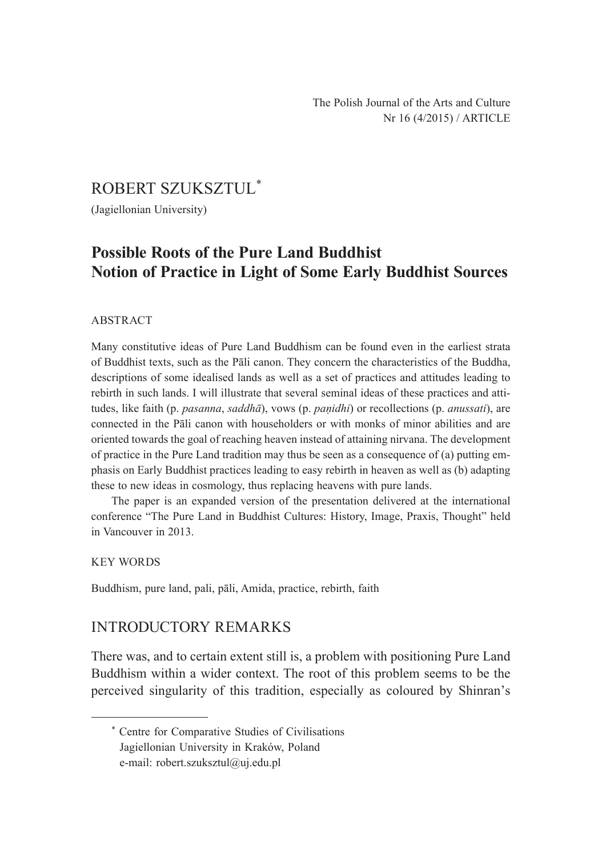# ROBERT SZUKSZTUL\*

(Jagiellonian University)

# **Possible Roots of the Pure Land Buddhist Notion of Practice in Light of Some Early Buddhist Sources**

### ABSTRACT

Many constitutive ideas of Pure Land Buddhism can be found even in the earliest strata of Buddhist texts, such as the Pāli canon. They concern the characteristics of the Buddha, descriptions of some idealised lands as well as a set of practices and attitudes leading to rebirth in such lands. I will illustrate that several seminal ideas of these practices and attitudes, like faith (p. *pasanna*, *saddhā*), vows (p. *paṇidhi*) or recollections (p. *anussati*), are connected in the Pāli canon with householders or with monks of minor abilities and are oriented towards the goal of reaching heaven instead of attaining nirvana. The development of practice in the Pure Land tradition may thus be seen as a consequence of (a) putting emphasis on Early Buddhist practices leading to easy rebirth in heaven as well as (b) adapting these to new ideas in cosmology, thus replacing heavens with pure lands.

The paper is an expanded version of the presentation delivered at the international conference "The Pure Land in Buddhist Cultures: History, Image, Praxis, Thought" held in Vancouver in 2013.

#### KEY WORDS

Buddhism, pure land, pali, pāli, Amida, practice, rebirth, faith

## INTRODUCTORY REMARKS

There was, and to certain extent still is, a problem with positioning Pure Land Buddhism within a wider context. The root of this problem seems to be the perceived singularity of this tradition, especially as coloured by Shinran's

<sup>\*</sup> Centre for Comparative Studies of Civilisations Jagiellonian University in Kraków, Poland e-mail: robert.szuksztul@uj.edu.pl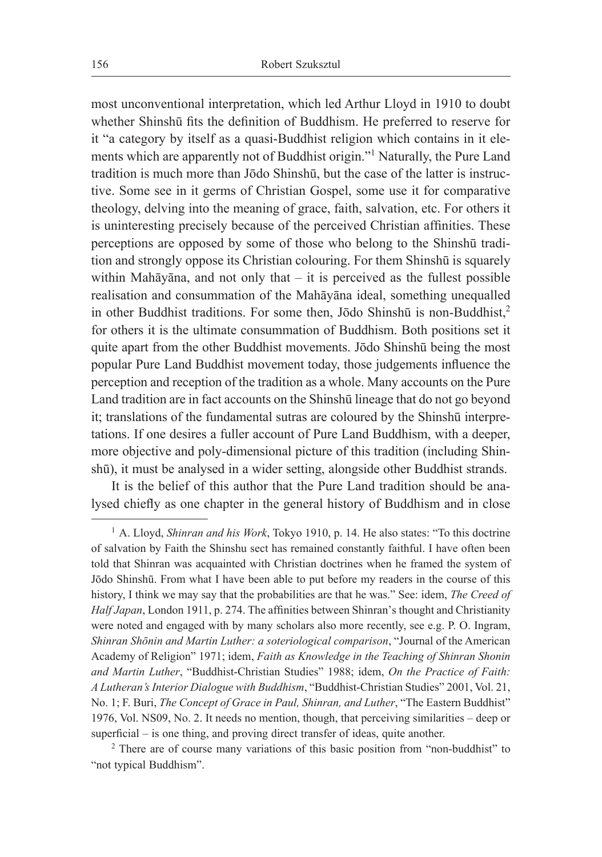most unconventional interpretation, which led Arthur Lloyd in 1910 to doubt whether Shinshū fits the definition of Buddhism. He preferred to reserve for it "a category by itself as a quasi-Buddhist religion which contains in it elements which are apparently not of Buddhist origin."<sup>1</sup> Naturally, the Pure Land tradition is much more than Jōdo Shinshū, but the case of the latter is instructive. Some see in it germs of Christian Gospel, some use it for comparative theology, delving into the meaning of grace, faith, salvation, etc. For others it is uninteresting precisely because of the perceived Christian affinities. These perceptions are opposed by some of those who belong to the Shinshū tradition and strongly oppose its Christian colouring. For them Shinshū is squarely within Mahāyāna, and not only that  $-$  it is perceived as the fullest possible realisation and consummation of the Mahāyāna ideal, something unequalled in other Buddhist traditions. For some then, Jōdo Shinshū is non-Buddhist,<sup>2</sup> for others it is the ultimate consummation of Buddhism. Both positions set it quite apart from the other Buddhist movements. Jōdo Shinshū being the most popular Pure Land Buddhist movement today, those judgements influence the perception and reception of the tradition as a whole. Many accounts on the Pure Land tradition are in fact accounts on the Shinshū lineage that do not go beyond it; translations of the fundamental sutras are coloured by the Shinshū interpretations. If one desires a fuller account of Pure Land Buddhism, with a deeper, more objective and poly-dimensional picture of this tradition (including Shinshū), it must be analysed in a wider setting, alongside other Buddhist strands.

It is the belief of this author that the Pure Land tradition should be analysed chiefly as one chapter in the general history of Buddhism and in close

<sup>&</sup>lt;sup>1</sup> A. Lloyd, *Shinran and his Work*, Tokyo 1910, p. 14. He also states: "To this doctrine of salvation by Faith the Shinshu sect has remained constantly faithful. I have often been told that Shinran was acquainted with Christian doctrines when he framed the system of Jōdo Shinshū. From what I have been able to put before my readers in the course of this history, I think we may say that the probabilities are that he was." See: idem, *The Creed of Half Japan*, London 1911, p. 274. The affinities between Shinran's thought and Christianity were noted and engaged with by many scholars also more recently, see e.g. P. O. Ingram, *Shinran Shōnin and Martin Luther: a soteriological comparison*, "Journal of the American Academy of Religion" 1971; idem, *Faith as Knowledge in the Teaching of Shinran Shonin and Martin Luther*, "Buddhist-Christian Studies" 1988; idem, *On the Practice of Faith: A Lutheran's Interior Dialogue with Buddhism*, "Buddhist-Christian Studies" 2001, Vol. 21, No. 1; F. Buri, *The Concept of Grace in Paul, Shinran, and Luther*, "The Eastern Buddhist" 1976, Vol. NS09, No. 2. It needs no mention, though, that perceiving similarities – deep or superficial – is one thing, and proving direct transfer of ideas, quite another.

<sup>&</sup>lt;sup>2</sup> There are of course many variations of this basic position from "non-buddhist" to "not typical Buddhism".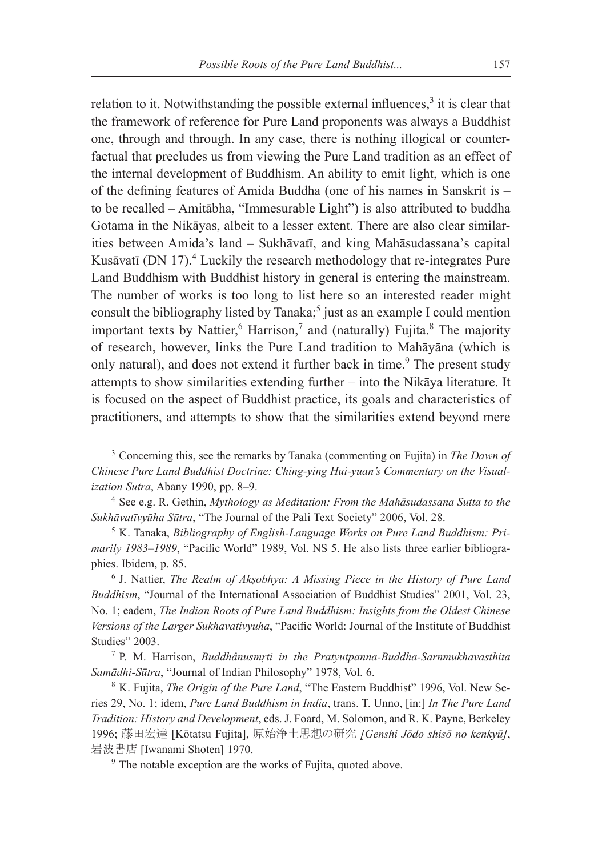relation to it. Notwithstanding the possible external influences,<sup>3</sup> it is clear that the framework of reference for Pure Land proponents was always a Buddhist one, through and through. In any case, there is nothing illogical or counterfactual that precludes us from viewing the Pure Land tradition as an effect of the internal development of Buddhism. An ability to emit light, which is one of the defining features of Amida Buddha (one of his names in Sanskrit is – to be recalled – Amitābha, "Immesurable Light") is also attributed to buddha Gotama in the Nikāyas, albeit to a lesser extent. There are also clear similarities between Amida's land – Sukhāvatī, and king Mahāsudassana's capital Kusāvatī (DN 17).<sup>4</sup> Luckily the research methodology that re-integrates Pure Land Buddhism with Buddhist history in general is entering the mainstream. The number of works is too long to list here so an interested reader might consult the bibliography listed by Tanaka;<sup>5</sup> just as an example I could mention important texts by Nattier,  $6$  Harrison, $7$  and (naturally) Fujita. $8$  The majority of research, however, links the Pure Land tradition to Mahāyāna (which is only natural), and does not extend it further back in time.<sup>9</sup> The present study attempts to show similarities extending further – into the Nikāya literature. It is focused on the aspect of Buddhist practice, its goals and characteristics of practitioners, and attempts to show that the similarities extend beyond mere

<sup>7</sup> P. M. Harrison, *Buddhânusmṛti in the Pratyutpanna-Buddha-Sarnmukhavasthita Samādhi-Sūtra*, "Journal of Indian Philosophy" 1978, Vol. 6.

<sup>3</sup> Concerning this, see the remarks by Tanaka (commenting on Fujita) in *The Dawn of Chinese Pure Land Buddhist Doctrine: Ching-ying Hui-yuan's Commentary on the Visualization Sutra*, Abany 1990, pp. 8–9.

<sup>4</sup> See e.g. R. Gethin, *Mythology as Meditation: From the Mahāsudassana Sutta to the Sukhāvatīvyūha Sūtra*, "The Journal of the Pali Text Society" 2006, Vol. 28.

<sup>5</sup> K. Tanaka, *Bibliography of English-Language Works on Pure Land Buddhism: Primarily 1983–1989*, "Pacific World" 1989, Vol. NS 5. He also lists three earlier bibliographies. Ibidem, p. 85.

<sup>6</sup> J. Nattier, *The Realm of Akṣobhya: A Missing Piece in the History of Pure Land Buddhism*, "Journal of the International Association of Buddhist Studies" 2001, Vol. 23, No. 1; eadem, *The Indian Roots of Pure Land Buddhism: Insights from the Oldest Chinese Versions of the Larger Sukhavativyuha*, "Pacific World: Journal of the Institute of Buddhist Studies" 2003.

<sup>8</sup> K. Fujita, *The Origin of the Pure Land*, "The Eastern Buddhist" 1996, Vol. New Series 29, No. 1; idem, *Pure Land Buddhism in India*, trans. T. Unno, [in:] *In The Pure Land Tradition: History and Development*, eds. J. Foard, M. Solomon, and R. K. Payne, Berkeley 1996; 藤田宏達 [Kōtatsu Fujita], 原始浄土思想の研究 *[Genshi Jōdo shisō no kenkyū]*, 岩波書店 [Iwanami Shoten] 1970.

<sup>&</sup>lt;sup>9</sup> The notable exception are the works of Fujita, quoted above.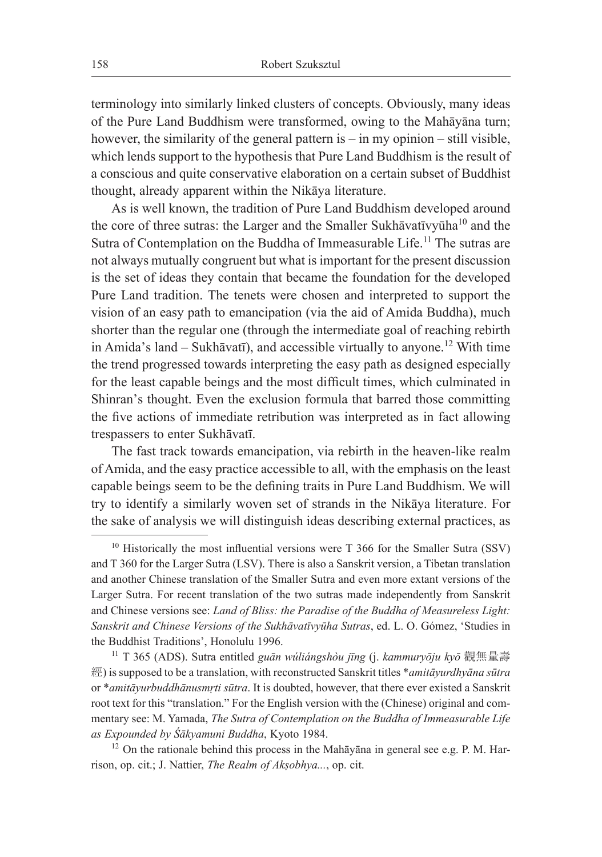terminology into similarly linked clusters of concepts. Obviously, many ideas of the Pure Land Buddhism were transformed, owing to the Mahāyāna turn; however, the similarity of the general pattern is – in my opinion – still visible, which lends support to the hypothesis that Pure Land Buddhism is the result of a conscious and quite conservative elaboration on a certain subset of Buddhist thought, already apparent within the Nikāya literature.

As is well known, the tradition of Pure Land Buddhism developed around the core of three sutras: the Larger and the Smaller Sukhāvatīvyūha<sup>10</sup> and the Sutra of Contemplation on the Buddha of Immeasurable Life.<sup>11</sup> The sutras are not always mutually congruent but what is important for the present discussion is the set of ideas they contain that became the foundation for the developed Pure Land tradition. The tenets were chosen and interpreted to support the vision of an easy path to emancipation (via the aid of Amida Buddha), much shorter than the regular one (through the intermediate goal of reaching rebirth in Amida's land – Sukhāvatī), and accessible virtually to anyone.12 With time the trend progressed towards interpreting the easy path as designed especially for the least capable beings and the most difficult times, which culminated in Shinran's thought. Even the exclusion formula that barred those committing the five actions of immediate retribution was interpreted as in fact allowing trespassers to enter Sukhāvatī.

The fast track towards emancipation, via rebirth in the heaven-like realm of Amida, and the easy practice accessible to all, with the emphasis on the least capable beings seem to be the defining traits in Pure Land Buddhism. We will try to identify a similarly woven set of strands in the Nikāya literature. For the sake of analysis we will distinguish ideas describing external practices, as

 $10$  Historically the most influential versions were T 366 for the Smaller Sutra (SSV) and T 360 for the Larger Sutra (LSV). There is also a Sanskrit version, a Tibetan translation and another Chinese translation of the Smaller Sutra and even more extant versions of the Larger Sutra. For recent translation of the two sutras made independently from Sanskrit and Chinese versions see: *Land of Bliss: the Paradise of the Buddha of Measureless Light: Sanskrit and Chinese Versions of the Sukhāvatīvyūha Sutras*, ed. L. O. Gómez, 'Studies in the Buddhist Traditions', Honolulu 1996.

<sup>11</sup> T 365 (ADS). Sutra entitled *guān wúliángshòu jīng* (j. *kammuryōju kyō* 觀無量壽 經) is supposed to be a translation, with reconstructed Sanskrit titles \**amitāyurdhyāna sūtra* or \**amitāyurbuddhānusmṛti sūtra*. It is doubted, however, that there ever existed a Sanskrit root text for this "translation." For the English version with the (Chinese) original and commentary see: M. Yamada, *The Sutra of Contemplation on the Buddha of Immeasurable Life as Expounded by Śākyamuni Buddha*, Kyoto 1984.

 $12$  On the rationale behind this process in the Mah $\bar{a}$ yana in general see e.g. P. M. Harrison, op. cit.; J. Nattier, *The Realm of Akṣobhya...*, op. cit.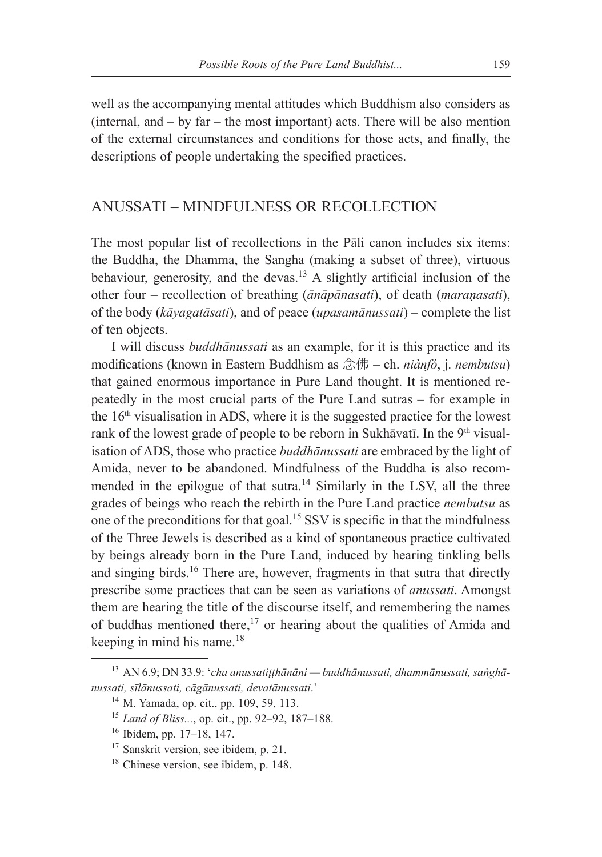well as the accompanying mental attitudes which Buddhism also considers as  $(internal, and - by far - the most important) acts. There will be also mention$ of the external circumstances and conditions for those acts, and finally, the descriptions of people undertaking the specified practices.

### ANUSSATI – MINDFULNESS OR RECOLLECTION

The most popular list of recollections in the Pāli canon includes six items: the Buddha, the Dhamma, the Sangha (making a subset of three), virtuous behaviour, generosity, and the devas.<sup>13</sup> A slightly artificial inclusion of the other four – recollection of breathing (*ānāpānasati*), of death (*maraṇasati*), of the body (*kāyagatāsati*), and of peace (*upasamānussati*) – complete the list of ten objects.

I will discuss *buddhānussati* as an example, for it is this practice and its modifications (known in Eastern Buddhism as 念佛 – ch. *niànfó*, j. *nembutsu*) that gained enormous importance in Pure Land thought. It is mentioned repeatedly in the most crucial parts of the Pure Land sutras – for example in the  $16<sup>th</sup>$  visualisation in ADS, where it is the suggested practice for the lowest rank of the lowest grade of people to be reborn in Sukhāvatī. In the 9<sup>th</sup> visualisation of ADS, those who practice *buddhānussati* are embraced by the light of Amida, never to be abandoned. Mindfulness of the Buddha is also recommended in the epilogue of that sutra.<sup>14</sup> Similarly in the LSV, all the three grades of beings who reach the rebirth in the Pure Land practice *nembutsu* as one of the preconditions for that goal.<sup>15</sup> SSV is specific in that the mindfulness of the Three Jewels is described as a kind of spontaneous practice cultivated by beings already born in the Pure Land, induced by hearing tinkling bells and singing birds.<sup>16</sup> There are, however, fragments in that sutra that directly prescribe some practices that can be seen as variations of *anussati*. Amongst them are hearing the title of the discourse itself, and remembering the names of buddhas mentioned there,<sup>17</sup> or hearing about the qualities of Amida and keeping in mind his name.<sup>18</sup>

<sup>13</sup> AN 6.9; DN 33.9: '*cha anussatiṭṭhānāni — buddhānussati, dhammānussati, saṅghānussati, sīlānussati, cāgānussati, devatānussati*.'

<sup>&</sup>lt;sup>14</sup> M. Yamada, op. cit., pp. 109, 59, 113.

<sup>15</sup> *Land of Bliss...*, op. cit., pp. 92–92, 187–188.

<sup>16</sup> Ibidem, pp. 17–18, 147.

<sup>17</sup> Sanskrit version, see ibidem, p. 21.

<sup>18</sup> Chinese version, see ibidem, p. 148.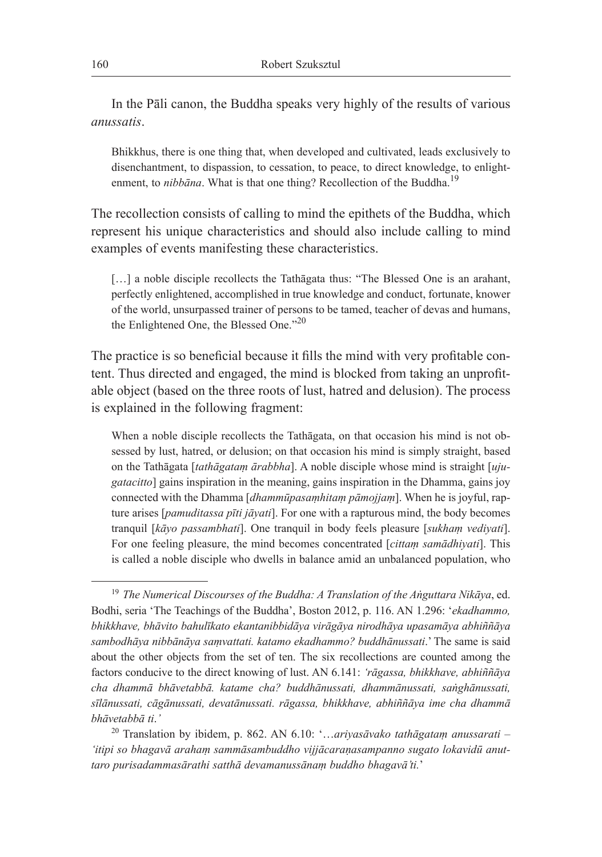In the Pāli canon, the Buddha speaks very highly of the results of various *anussatis*.

Bhikkhus, there is one thing that, when developed and cultivated, leads exclusively to disenchantment, to dispassion, to cessation, to peace, to direct knowledge, to enlightenment, to *nibbāna*. What is that one thing? Recollection of the Buddha.<sup>19</sup>

The recollection consists of calling to mind the epithets of the Buddha, which represent his unique characteristics and should also include calling to mind examples of events manifesting these characteristics.

[...] a noble disciple recollects the Tathagata thus: "The Blessed One is an arahant, perfectly enlightened, accomplished in true knowledge and conduct, fortunate, knower of the world, unsurpassed trainer of persons to be tamed, teacher of devas and humans, the Enlightened One, the Blessed One."<sup>20</sup>

The practice is so beneficial because it fills the mind with very profitable content. Thus directed and engaged, the mind is blocked from taking an unprofitable object (based on the three roots of lust, hatred and delusion). The process is explained in the following fragment:

When a noble disciple recollects the Tathāgata, on that occasion his mind is not obsessed by lust, hatred, or delusion; on that occasion his mind is simply straight, based on the Tathāgata [*tathāgataṃ ārabbha*]. A noble disciple whose mind is straight [*ujugatacitto*] gains inspiration in the meaning, gains inspiration in the Dhamma, gains joy connected with the Dhamma [*dhammūpasaṃhitaṃ pāmojjaṃ*]. When he is joyful, rapture arises [*pamuditassa pīti jāyati*]. For one with a rapturous mind, the body becomes tranquil [*kāyo passambhati*]. One tranquil in body feels pleasure [*sukhaṃ vediyati*]. For one feeling pleasure, the mind becomes concentrated [*cittaṃ samādhiyati*]. This is called a noble disciple who dwells in balance amid an unbalanced population, who

<sup>19</sup> *The Numerical Discourses of the Buddha: A Translation of the Aṅguttara Nikāya*, ed. Bodhi, seria 'The Teachings of the Buddha', Boston 2012, p. 116. AN 1.296: '*ekadhammo, bhikkhave, bhāvito bahulīkato ekantanibbidāya virāgāya nirodhāya upasamāya abhiññāya sambodhāya nibbānāya saṃvattati. katamo ekadhammo? buddhānussati*.' The same is said about the other objects from the set of ten. The six recollections are counted among the factors conducive to the direct knowing of lust. AN 6.141: *'rāgassa, bhikkhave, abhiññāya cha dhammā bhāvetabbā. katame cha? buddhānussati, dhammānussati, saṅghānussati, sīlānussati, cāgānussati, devatānussati. rāgassa, bhikkhave, abhiññāya ime cha dhammā bhāvetabbā ti*.*'*

<sup>20</sup> Translation by ibidem, p. 862. AN 6.10: '…*ariyasāvako tathāgataṃ anussarati – 'itipi so bhagavā arahaṃ sammāsambuddho vijjācaraṇasampanno sugato lokavidū anuttaro purisadammasārathi satthā devamanussānaṃ buddho bhagavā'ti.*'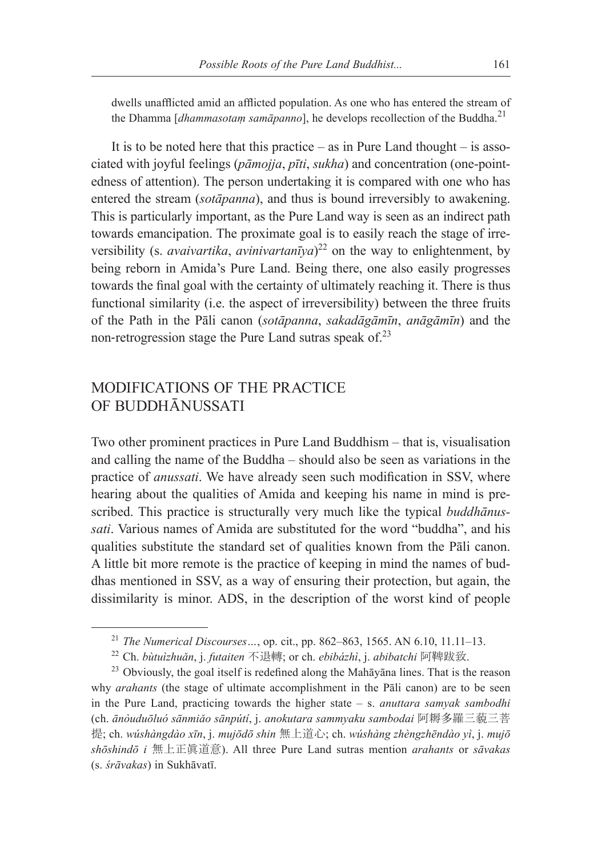dwells unafflicted amid an afflicted population. As one who has entered the stream of the Dhamma [*dhammasotam samāpanno*], he develops recollection of the Buddha.<sup>21</sup>

It is to be noted here that this practice – as in Pure Land thought – is associated with joyful feelings (*pāmojja*, *pīti*, *sukha*) and concentration (one-pointedness of attention). The person undertaking it is compared with one who has entered the stream (*sotāpanna*), and thus is bound irreversibly to awakening. This is particularly important, as the Pure Land way is seen as an indirect path towards emancipation. The proximate goal is to easily reach the stage of irreversibility (s. *avaivartika*, *avinivartanīya*) 22 on the way to enlightenment, by being reborn in Amida's Pure Land. Being there, one also easily progresses towards the final goal with the certainty of ultimately reaching it. There is thus functional similarity (i.e. the aspect of irreversibility) between the three fruits of the Path in the Pāli canon (*sotāpanna*, *sakadāgāmīn*, *anāgāmīn*) and the non-retrogression stage the Pure Land sutras speak of.<sup>23</sup>

## MODIFICATIONS OF THE PRACTICE OF BUDDHĀNUSSATI

Two other prominent practices in Pure Land Buddhism – that is, visualisation and calling the name of the Buddha – should also be seen as variations in the practice of *anussati*. We have already seen such modification in SSV, where hearing about the qualities of Amida and keeping his name in mind is prescribed. This practice is structurally very much like the typical *buddhānussati*. Various names of Amida are substituted for the word "buddha", and his qualities substitute the standard set of qualities known from the Pāli canon. A little bit more remote is the practice of keeping in mind the names of buddhas mentioned in SSV, as a way of ensuring their protection, but again, the dissimilarity is minor. ADS, in the description of the worst kind of people

<sup>21</sup> *The Numerical Discourses…*, op. cit., pp. 862–863, 1565. AN 6.10, 11.11–13.

<sup>22</sup> Ch. *bùtuìzhuǎn*, j. *futaiten* 不退轉; or ch. *ebibázhì*, j. *abibatchi* 阿鞞跋致.

<sup>&</sup>lt;sup>23</sup> Obviously, the goal itself is redefined along the Mahāyāna lines. That is the reason why *arahants* (the stage of ultimate accomplishment in the Pali canon) are to be seen in the Pure Land, practicing towards the higher state – s. *anuttara samyak sambodhi* (ch. *ānòuduōluó sānmiǎo sānpútí*, j. *anokutara sammyaku sambodai* 阿耨多羅三藐三菩 提; ch. *wúshàngdào xīn*, j. *mujōdō shin* 無上道心; ch. *wúshàng zhèngzhēndào yì*, j. *mujō shōshindō i* 無上正眞道意). All three Pure Land sutras mention *arahants* or *sāvakas* (s. *śrāvakas*) in Sukhāvatī.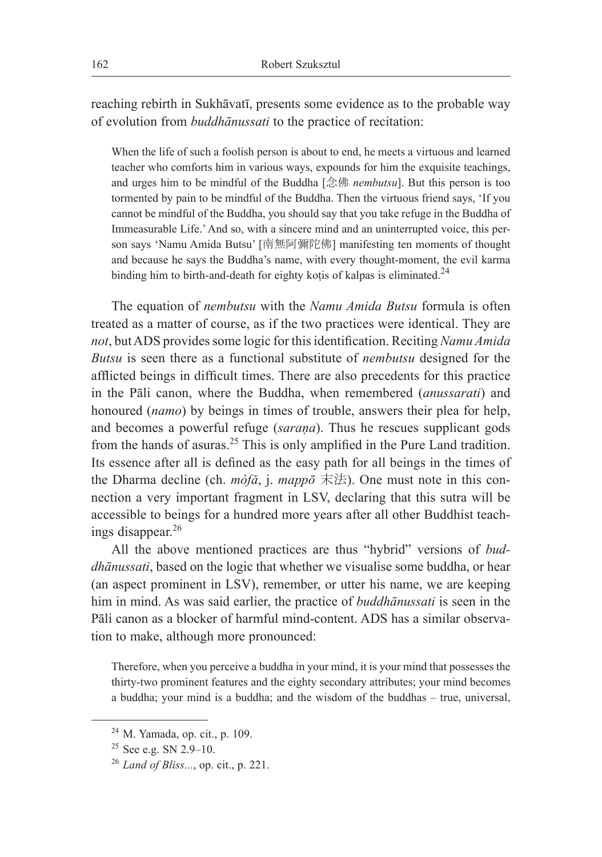reaching rebirth in Sukhāvatī, presents some evidence as to the probable way of evolution from *buddhānussati* to the practice of recitation:

When the life of such a foolish person is about to end, he meets a virtuous and learned teacher who comforts him in various ways, expounds for him the exquisite teachings, and urges him to be mindful of the Buddha [念佛 *nembutsu*]. But this person is too tormented by pain to be mindful of the Buddha. Then the virtuous friend says, 'If you cannot be mindful of the Buddha, you should say that you take refuge in the Buddha of Immeasurable Life.' And so, with a sincere mind and an uninterrupted voice, this person says 'Namu Amida Butsu' [南無阿彌陀佛] manifesting ten moments of thought and because he says the Buddha's name, with every thought-moment, the evil karma binding him to birth-and-death for eighty kotis of kalpas is eliminated.<sup>24</sup>

The equation of *nembutsu* with the *Namu Amida Butsu* formula is often treated as a matter of course, as if the two practices were identical. They are *not*, but ADS provides some logic for this identification. Reciting *Namu Amida Butsu* is seen there as a functional substitute of *nembutsu* designed for the afflicted beings in difficult times. There are also precedents for this practice in the Pāli canon, where the Buddha, when remembered (*anussarati*) and honoured (*namo*) by beings in times of trouble, answers their plea for help, and becomes a powerful refuge (*saraṇa*). Thus he rescues supplicant gods from the hands of asuras.<sup>25</sup> This is only amplified in the Pure Land tradition. Its essence after all is defined as the easy path for all beings in the times of the Dharma decline (ch. *mòfǎ*, j. *mappō* 末法). One must note in this connection a very important fragment in LSV, declaring that this sutra will be accessible to beings for a hundred more years after all other Buddhist teachings disappear.<sup>26</sup>

All the above mentioned practices are thus "hybrid" versions of *buddhānussati*, based on the logic that whether we visualise some buddha, or hear (an aspect prominent in LSV), remember, or utter his name, we are keeping him in mind. As was said earlier, the practice of *buddhānussati* is seen in the Pāli canon as a blocker of harmful mind-content. ADS has a similar observation to make, although more pronounced:

Therefore, when you perceive a buddha in your mind, it is your mind that possesses the thirty-two prominent features and the eighty secondary attributes; your mind becomes a buddha; your mind is a buddha; and the wisdom of the buddhas – true, universal,

<sup>24</sup> M. Yamada, op. cit., p. 109.

<sup>25</sup> See e.g. SN 2.9–10.

<sup>26</sup> *Land of Bliss...*, op. cit., p. 221.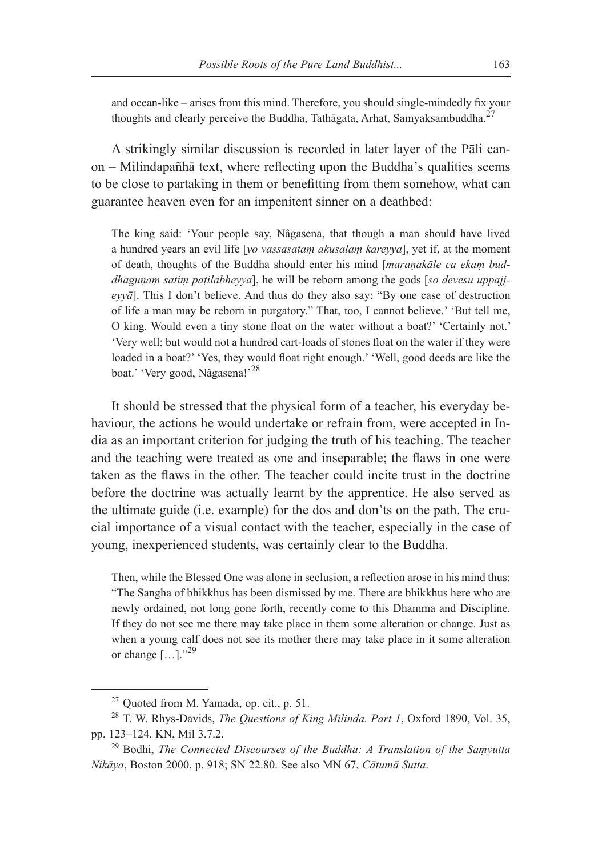and ocean-like – arises from this mind. Therefore, you should single-mindedly fix your thoughts and clearly perceive the Buddha, Tathāgata, Arhat, Samyaksambuddha.<sup>27</sup>

A strikingly similar discussion is recorded in later layer of the Pāli canon – Milindapañhā text, where reflecting upon the Buddha's qualities seems to be close to partaking in them or benefitting from them somehow, what can guarantee heaven even for an impenitent sinner on a deathbed:

The king said: 'Your people say, Nâgasena, that though a man should have lived a hundred years an evil life [*yo vassasataṃ akusalaṃ kareyya*], yet if, at the moment of death, thoughts of the Buddha should enter his mind [*maraṇakāle ca ekaṃ buddhaguṇaṃ satiṃ paṭilabheyya*], he will be reborn among the gods [*so devesu uppajjeyyā*]. This I don't believe. And thus do they also say: "By one case of destruction of life a man may be reborn in purgatory." That, too, I cannot believe.' 'But tell me, O king. Would even a tiny stone float on the water without a boat?' 'Certainly not.' 'Very well; but would not a hundred cart-loads of stones float on the water if they were loaded in a boat?' 'Yes, they would float right enough.' 'Well, good deeds are like the boat.' 'Very good, Nâgasena!'<sup>28</sup>

It should be stressed that the physical form of a teacher, his everyday behaviour, the actions he would undertake or refrain from, were accepted in India as an important criterion for judging the truth of his teaching. The teacher and the teaching were treated as one and inseparable; the flaws in one were taken as the flaws in the other. The teacher could incite trust in the doctrine before the doctrine was actually learnt by the apprentice. He also served as the ultimate guide (i.e. example) for the dos and don'ts on the path. The crucial importance of a visual contact with the teacher, especially in the case of young, inexperienced students, was certainly clear to the Buddha.

Then, while the Blessed One was alone in seclusion, a reflection arose in his mind thus: "The Sangha of bhikkhus has been dismissed by me. There are bhikkhus here who are newly ordained, not long gone forth, recently come to this Dhamma and Discipline. If they do not see me there may take place in them some alteration or change. Just as when a young calf does not see its mother there may take place in it some alteration or change  $[\dots]$ ."<sup>29</sup>

<sup>27</sup> Quoted from M. Yamada, op. cit., p. 51.

<sup>28</sup> T. W. Rhys-Davids, *The Questions of King Milinda. Part 1*, Oxford 1890, Vol. 35, pp. 123–124. KN, Mil 3.7.2.

<sup>29</sup> Bodhi, *The Connected Discourses of the Buddha: A Translation of the Saṃyutta Nikāya*, Boston 2000, p. 918; SN 22.80. See also MN 67, *Cātumā Sutta*.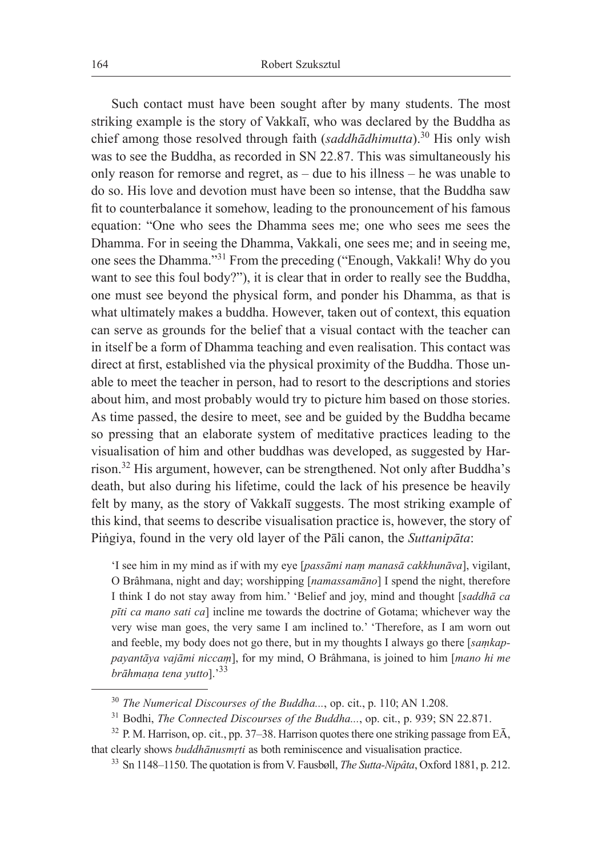Such contact must have been sought after by many students. The most striking example is the story of Vakkalī, who was declared by the Buddha as chief among those resolved through faith (*saddhādhimutta*).<sup>30</sup> His only wish was to see the Buddha, as recorded in SN 22.87. This was simultaneously his only reason for remorse and regret, as – due to his illness – he was unable to do so. His love and devotion must have been so intense, that the Buddha saw fit to counterbalance it somehow, leading to the pronouncement of his famous equation: "One who sees the Dhamma sees me; one who sees me sees the Dhamma. For in seeing the Dhamma, Vakkali, one sees me; and in seeing me, one sees the Dhamma."<sup>31</sup> From the preceding ("Enough, Vakkali! Why do you want to see this foul body?"), it is clear that in order to really see the Buddha, one must see beyond the physical form, and ponder his Dhamma, as that is what ultimately makes a buddha. However, taken out of context, this equation can serve as grounds for the belief that a visual contact with the teacher can in itself be a form of Dhamma teaching and even realisation. This contact was direct at first, established via the physical proximity of the Buddha. Those unable to meet the teacher in person, had to resort to the descriptions and stories about him, and most probably would try to picture him based on those stories. As time passed, the desire to meet, see and be guided by the Buddha became so pressing that an elaborate system of meditative practices leading to the visualisation of him and other buddhas was developed, as suggested by Harrison.<sup>32</sup> His argument, however, can be strengthened. Not only after Buddha's death, but also during his lifetime, could the lack of his presence be heavily felt by many, as the story of Vakkalī suggests. The most striking example of this kind, that seems to describe visualisation practice is, however, the story of Piṅgiya, found in the very old layer of the Pāli canon, the *Suttanipāta*:

'I see him in my mind as if with my eye [*passāmi naṃ manasā cakkhunāva*], vigilant, O Brâhmana, night and day; worshipping [*namassamāno*] I spend the night, therefore I think I do not stay away from him.' 'Belief and joy, mind and thought [*saddhā ca pīti ca mano sati ca*] incline me towards the doctrine of Gotama; whichever way the very wise man goes, the very same I am inclined to.' 'Therefore, as I am worn out and feeble, my body does not go there, but in my thoughts I always go there [*saṃkappayantāya vajāmi niccaṃ*], for my mind, O Brâhmana, is joined to him [*mano hi me brāhmaṇa tena yutto*].'<sup>33</sup>

<sup>30</sup> *The Numerical Discourses of the Buddha...*, op. cit., p. 110; AN 1.208.

<sup>&</sup>lt;sup>31</sup> Bodhi, *The Connected Discourses of the Buddha...*, op. cit., p. 939; SN 22.871.

 $32$  P. M. Harrison, op. cit., pp. 37–38. Harrison quotes there one striking passage from E $\overline{A}$ , that clearly shows *buddhānusmṛti* as both reminiscence and visualisation practice.

<sup>33</sup> Sn 1148–1150. The quotation is from V. Fausbøll, *The Sutta-Nipâta*, Oxford 1881, p. 212.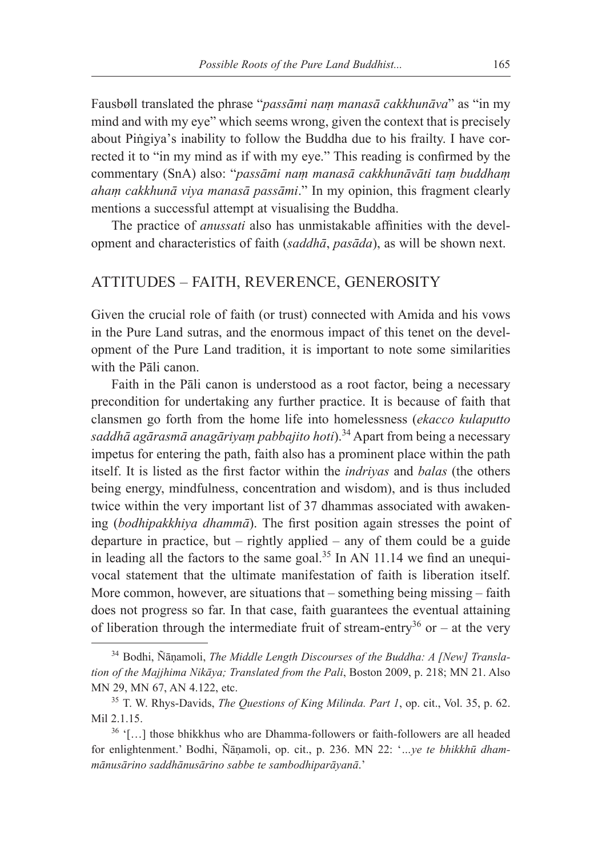Fausbøll translated the phrase "*passāmi naṃ manasā cakkhunāva*" as "in my mind and with my eye" which seems wrong, given the context that is precisely about Piṅgiya's inability to follow the Buddha due to his frailty. I have corrected it to "in my mind as if with my eye." This reading is confirmed by the commentary (SnA) also: "*passāmi naṃ manasā cakkhunāvāti taṃ buddhaṃ ahaṃ cakkhunā viya manasā passāmi*." In my opinion, this fragment clearly mentions a successful attempt at visualising the Buddha.

The practice of *anussati* also has unmistakable affinities with the development and characteristics of faith (*saddhā*, *pasāda*), as will be shown next.

### ATTITUDES – FAITH, REVERENCE, GENEROSITY

Given the crucial role of faith (or trust) connected with Amida and his vows in the Pure Land sutras, and the enormous impact of this tenet on the development of the Pure Land tradition, it is important to note some similarities with the Pāli canon.

Faith in the Pāli canon is understood as a root factor, being a necessary precondition for undertaking any further practice. It is because of faith that clansmen go forth from the home life into homelessness (*ekacco kulaputto*  saddhā agārasmā anagāriyam pabbajito hoti).<sup>34</sup> Apart from being a necessary impetus for entering the path, faith also has a prominent place within the path itself. It is listed as the first factor within the *indriyas* and *balas* (the others being energy, mindfulness, concentration and wisdom), and is thus included twice within the very important list of 37 dhammas associated with awakening (*bodhipakkhiya dhammā*). The first position again stresses the point of departure in practice, but  $-$  rightly applied  $-$  any of them could be a guide in leading all the factors to the same goal.<sup>35</sup> In AN 11.14 we find an unequivocal statement that the ultimate manifestation of faith is liberation itself. More common, however, are situations that – something being missing – faith does not progress so far. In that case, faith guarantees the eventual attaining of liberation through the intermediate fruit of stream-entry<sup>36</sup> or – at the very

<sup>34</sup> Bodhi, Ñāṇamoli, *The Middle Length Discourses of the Buddha: A [New] Translation of the Majjhima Nikāya; Translated from the Pali*, Boston 2009, p. 218; MN 21. Also MN 29, MN 67, AN 4.122, etc.

<sup>35</sup> T. W. Rhys-Davids, *The Questions of King Milinda. Part 1*, op. cit., Vol. 35, p. 62. Mil 2.1.15.

<sup>36</sup> '[…] those bhikkhus who are Dhamma-followers or faith-followers are all headed for enlightenment.' Bodhi, Ñāṇamoli, op. cit., p. 236. MN 22: '*…ye te bhikkhū dhammānusārino saddhānusārino sabbe te sambodhiparāyanā*.'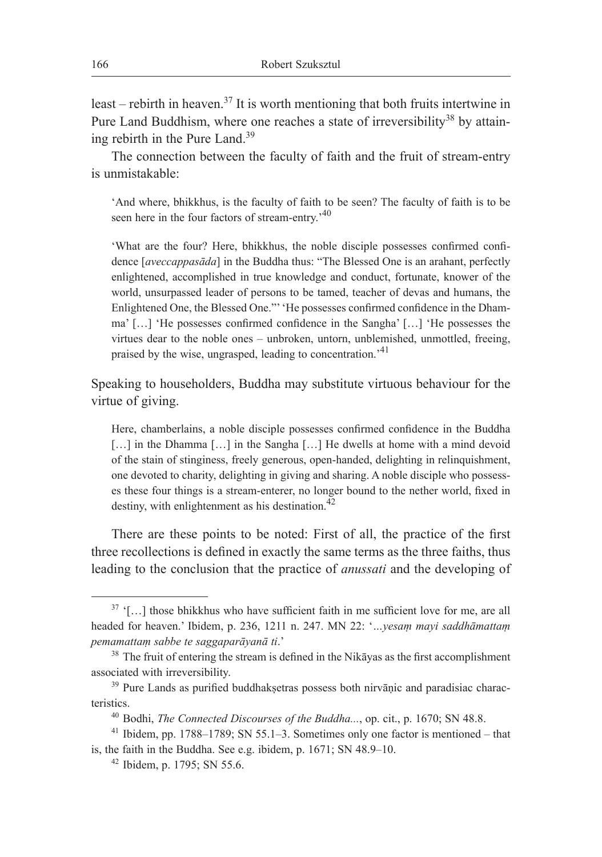least – rebirth in heaven.<sup>37</sup> It is worth mentioning that both fruits intertwine in Pure Land Buddhism, where one reaches a state of irreversibility<sup>38</sup> by attaining rebirth in the Pure Land.<sup>39</sup>

The connection between the faculty of faith and the fruit of stream-entry is unmistakable:

'And where, bhikkhus, is the faculty of faith to be seen? The faculty of faith is to be seen here in the four factors of stream-entry.<sup>40</sup>

'What are the four? Here, bhikkhus, the noble disciple possesses confirmed confidence [*aveccappasāda*] in the Buddha thus: "The Blessed One is an arahant, perfectly enlightened, accomplished in true knowledge and conduct, fortunate, knower of the world, unsurpassed leader of persons to be tamed, teacher of devas and humans, the Enlightened One, the Blessed One."' 'He possesses confirmed confidence in the Dhamma' […] 'He possesses confirmed confidence in the Sangha' […] 'He possesses the virtues dear to the noble ones – unbroken, untorn, unblemished, unmottled, freeing, praised by the wise, ungrasped, leading to concentration.'<sup>41</sup>

Speaking to householders, Buddha may substitute virtuous behaviour for the virtue of giving.

Here, chamberlains, a noble disciple possesses confirmed confidence in the Buddha [...] in the Dhamma [...] in the Sangha [...] He dwells at home with a mind devoid of the stain of stinginess, freely generous, open-handed, delighting in relinquishment, one devoted to charity, delighting in giving and sharing. A noble disciple who possesses these four things is a stream-enterer, no longer bound to the nether world, fixed in destiny, with enlightenment as his destination. $42$ 

There are these points to be noted: First of all, the practice of the first three recollections is defined in exactly the same terms as the three faiths, thus leading to the conclusion that the practice of *anussati* and the developing of

 $37$  '[...] those bhikkhus who have sufficient faith in me sufficient love for me, are all headed for heaven.' Ibidem, p. 236, 1211 n. 247. MN 22: '*…yesaṃ mayi saddhāmattaṃ pemamattaṃ sabbe te saggaparāyanā ti*.'

<sup>&</sup>lt;sup>38</sup> The fruit of entering the stream is defined in the Nikāyas as the first accomplishment associated with irreversibility.

<sup>&</sup>lt;sup>39</sup> Pure Lands as purified buddhaksetras possess both nirvānic and paradisiac characteristics.

<sup>40</sup> Bodhi, *The Connected Discourses of the Buddha...*, op. cit., p. 1670; SN 48.8.

 $41$  Ibidem, pp. 1788–1789; SN 55.1–3. Sometimes only one factor is mentioned – that is, the faith in the Buddha. See e.g. ibidem, p. 1671; SN 48.9–10.

<sup>42</sup> Ibidem, p. 1795; SN 55.6.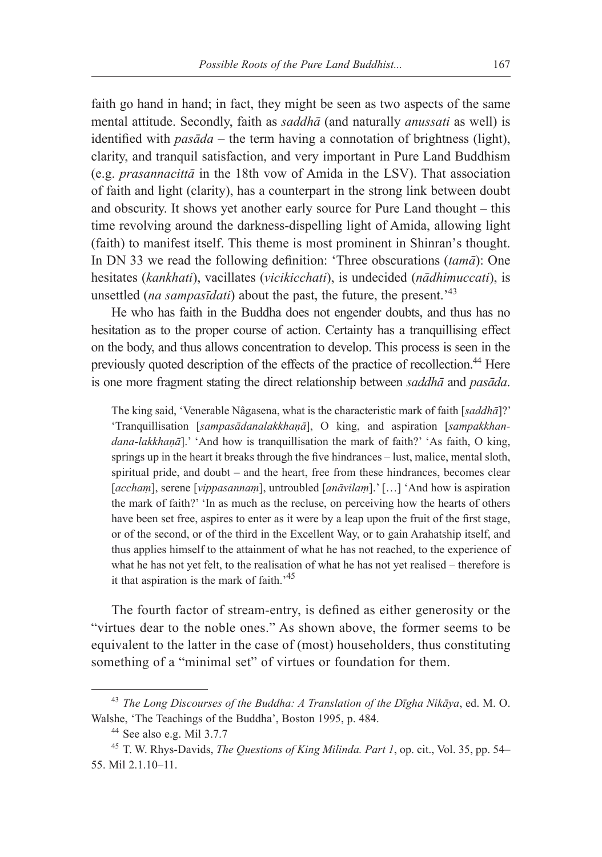faith go hand in hand; in fact, they might be seen as two aspects of the same mental attitude. Secondly, faith as *saddhā* (and naturally *anussati* as well) is identified with *pasāda* – the term having a connotation of brightness (light), clarity, and tranquil satisfaction, and very important in Pure Land Buddhism (e.g. *prasannacittā* in the 18th vow of Amida in the LSV). That association of faith and light (clarity), has a counterpart in the strong link between doubt and obscurity. It shows yet another early source for Pure Land thought – this time revolving around the darkness-dispelling light of Amida, allowing light (faith) to manifest itself. This theme is most prominent in Shinran's thought. In DN 33 we read the following definition: 'Three obscurations (*tamā*): One hesitates (*kankhati*), vacillates (*vicikicchati*), is undecided (*nādhimuccati*), is unsettled (*na sampasīdati*) about the past, the future, the present.'<sup>43</sup>

He who has faith in the Buddha does not engender doubts, and thus has no hesitation as to the proper course of action. Certainty has a tranquillising effect on the body, and thus allows concentration to develop. This process is seen in the previously quoted description of the effects of the practice of recollection.<sup>44</sup> Here is one more fragment stating the direct relationship between *saddhā* and *pasāda*.

The king said, 'Venerable Nâgasena, what is the characteristic mark of faith [*saddhā*]?' 'Tranquillisation [*sampasādanalakkhaṇā*], O king, and aspiration [*sampakkhandana-lakkhaṇā*].' 'And how is tranquillisation the mark of faith?' 'As faith, O king, springs up in the heart it breaks through the five hindrances – lust, malice, mental sloth, spiritual pride, and doubt – and the heart, free from these hindrances, becomes clear [*acchaṃ*], serene [*vippasannaṃ*], untroubled [*anāvilaṃ*].' […] 'And how is aspiration the mark of faith?' 'In as much as the recluse, on perceiving how the hearts of others have been set free, aspires to enter as it were by a leap upon the fruit of the first stage, or of the second, or of the third in the Excellent Way, or to gain Arahatship itself, and thus applies himself to the attainment of what he has not reached, to the experience of what he has not yet felt, to the realisation of what he has not yet realised – therefore is it that aspiration is the mark of faith. $145$ 

The fourth factor of stream-entry, is defined as either generosity or the "virtues dear to the noble ones." As shown above, the former seems to be equivalent to the latter in the case of (most) householders, thus constituting something of a "minimal set" of virtues or foundation for them.

<sup>43</sup> *The Long Discourses of the Buddha: A Translation of the Dīgha Nikāya*, ed. M. O. Walshe, 'The Teachings of the Buddha', Boston 1995, p. 484.

<sup>44</sup> See also e.g. Mil 3.7.7

<sup>45</sup> T. W. Rhys-Davids, *The Questions of King Milinda. Part 1*, op. cit., Vol. 35, pp. 54– 55. Mil 2.1.10–11.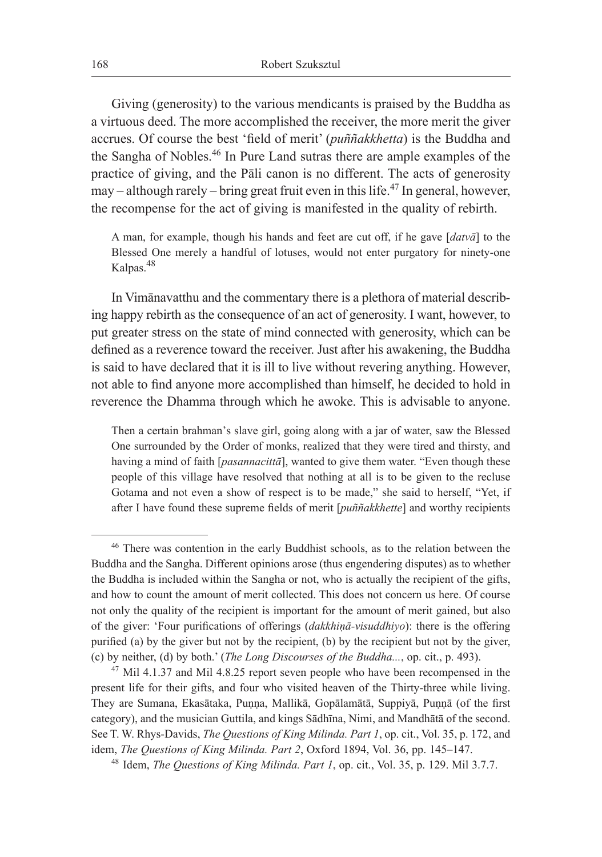Giving (generosity) to the various mendicants is praised by the Buddha as a virtuous deed. The more accomplished the receiver, the more merit the giver accrues. Of course the best 'field of merit' (*puññakkhetta*) is the Buddha and the Sangha of Nobles.46 In Pure Land sutras there are ample examples of the practice of giving, and the Pāli canon is no different. The acts of generosity may – although rarely – bring great fruit even in this life.<sup>47</sup> In general, however, the recompense for the act of giving is manifested in the quality of rebirth.

A man, for example, though his hands and feet are cut off, if he gave [*datvā*] to the Blessed One merely a handful of lotuses, would not enter purgatory for ninety-one Kalpas.<sup>48</sup>

In Vimānavatthu and the commentary there is a plethora of material describing happy rebirth as the consequence of an act of generosity. I want, however, to put greater stress on the state of mind connected with generosity, which can be defined as a reverence toward the receiver. Just after his awakening, the Buddha is said to have declared that it is ill to live without revering anything. However, not able to find anyone more accomplished than himself, he decided to hold in reverence the Dhamma through which he awoke. This is advisable to anyone.

Then a certain brahman's slave girl, going along with a jar of water, saw the Blessed One surrounded by the Order of monks, realized that they were tired and thirsty, and having a mind of faith [*pasannacittā*], wanted to give them water. "Even though these people of this village have resolved that nothing at all is to be given to the recluse Gotama and not even a show of respect is to be made," she said to herself, "Yet, if after I have found these supreme fields of merit [*puññakkhette*] and worthy recipients

<sup>46</sup> There was contention in the early Buddhist schools, as to the relation between the Buddha and the Sangha. Different opinions arose (thus engendering disputes) as to whether the Buddha is included within the Sangha or not, who is actually the recipient of the gifts, and how to count the amount of merit collected. This does not concern us here. Of course not only the quality of the recipient is important for the amount of merit gained, but also of the giver: 'Four purifications of offerings (*dakkhiṇā-visuddhiyo*): there is the offering purified (a) by the giver but not by the recipient, (b) by the recipient but not by the giver, (c) by neither, (d) by both.' (*The Long Discourses of the Buddha...*, op. cit., p. 493).

<sup>&</sup>lt;sup>47</sup> Mil 4.1.37 and Mil 4.8.25 report seven people who have been recompensed in the present life for their gifts, and four who visited heaven of the Thirty-three while living. They are Sumana, Ekasātaka, Puṇṇa, Mallikā, Gopālamātā, Suppiyā, Puṇṇā (of the first category), and the musician Guttila, and kings Sādhīna, Nimi, and Mandhātā of the second. See T. W. Rhys-Davids, *The Questions of King Milinda. Part 1*, op. cit., Vol. 35, p. 172, and idem, *The Questions of King Milinda. Part 2*, Oxford 1894, Vol. 36, pp. 145–147.

<sup>48</sup> Idem, *The Questions of King Milinda. Part 1*, op. cit., Vol. 35, p. 129. Mil 3.7.7.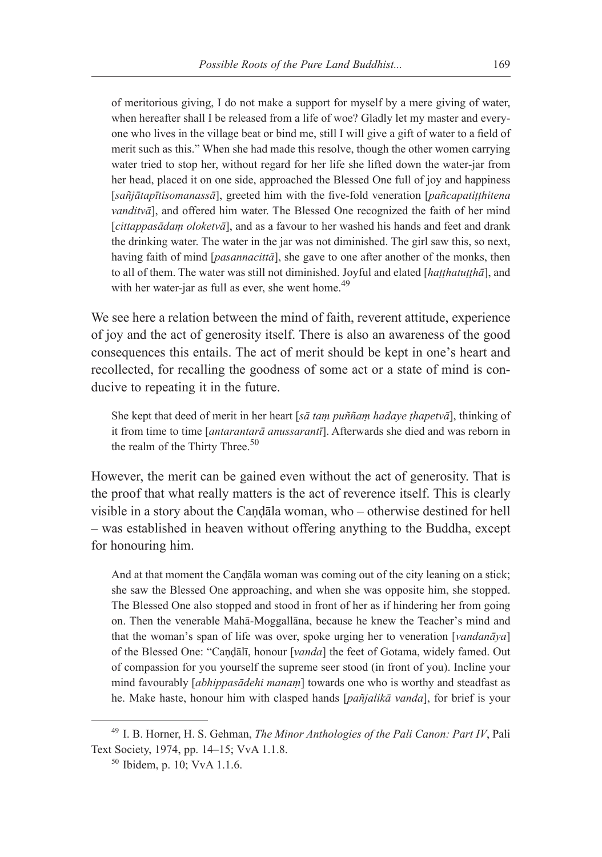of meritorious giving, I do not make a support for myself by a mere giving of water, when hereafter shall I be released from a life of woe? Gladly let my master and everyone who lives in the village beat or bind me, still I will give a gift of water to a field of merit such as this." When she had made this resolve, though the other women carrying water tried to stop her, without regard for her life she lifted down the water-jar from her head, placed it on one side, approached the Blessed One full of joy and happiness [*sañjātapītisomanassā*], greeted him with the five-fold veneration [*pañcapatiṭṭhitena vanditvā*], and offered him water. The Blessed One recognized the faith of her mind [*cittappasādaṃ oloketvā*], and as a favour to her washed his hands and feet and drank the drinking water. The water in the jar was not diminished. The girl saw this, so next, having faith of mind [*pasannacittā*], she gave to one after another of the monks, then to all of them. The water was still not diminished. Joyful and elated [*haṭṭhatuṭṭhā*], and with her water-jar as full as ever, she went home.<sup>49</sup>

We see here a relation between the mind of faith, reverent attitude, experience of joy and the act of generosity itself. There is also an awareness of the good consequences this entails. The act of merit should be kept in one's heart and recollected, for recalling the goodness of some act or a state of mind is conducive to repeating it in the future.

She kept that deed of merit in her heart [*sā taṃ puññaṃ hadaye ṭhapetvā*], thinking of it from time to time [*antarantarā anussarantī*]. Afterwards she died and was reborn in the realm of the Thirty Three. $50$ 

However, the merit can be gained even without the act of generosity. That is the proof that what really matters is the act of reverence itself. This is clearly visible in a story about the Caṇḍāla woman, who – otherwise destined for hell – was established in heaven without offering anything to the Buddha, except for honouring him.

And at that moment the Caṇḍāla woman was coming out of the city leaning on a stick; she saw the Blessed One approaching, and when she was opposite him, she stopped. The Blessed One also stopped and stood in front of her as if hindering her from going on. Then the venerable Mahā-Moggallāna, because he knew the Teacher's mind and that the woman's span of life was over, spoke urging her to veneration [*vandanāya*] of the Blessed One: "Caṇḍālī, honour [*vanda*] the feet of Gotama, widely famed. Out of compassion for you yourself the supreme seer stood (in front of you). Incline your mind favourably [*abhippasādehi manaṃ*] towards one who is worthy and steadfast as he. Make haste, honour him with clasped hands [*pañjalikā vanda*], for brief is your

<sup>49</sup> I. B. Horner, H. S. Gehman, *The Minor Anthologies of the Pali Canon: Part IV*, Pali Text Society, 1974, pp. 14–15; VvA 1.1.8.

<sup>50</sup> Ibidem, p. 10; VvA 1.1.6.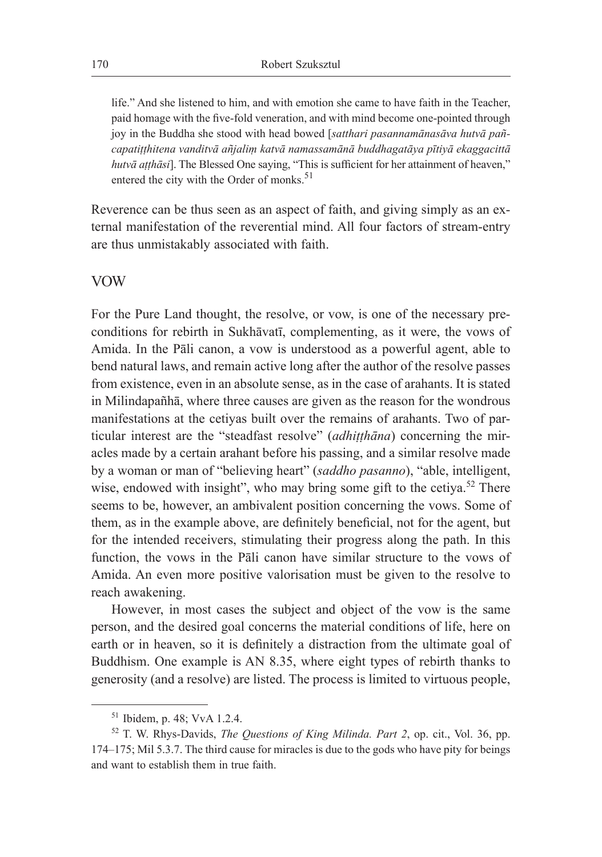life." And she listened to him, and with emotion she came to have faith in the Teacher, paid homage with the five-fold veneration, and with mind become one-pointed through joy in the Buddha she stood with head bowed [*satthari pasannamānasāva hutvā pañcapatiṭṭhitena vanditvā añjaliṃ katvā namassamānā buddhagatāya pītiyā ekaggacittā hutvā aṭṭhāsi*]. The Blessed One saying, "This is sufficient for her attainment of heaven," entered the city with the Order of monks.<sup>51</sup>

Reverence can be thus seen as an aspect of faith, and giving simply as an external manifestation of the reverential mind. All four factors of stream-entry are thus unmistakably associated with faith.

### VOW

For the Pure Land thought, the resolve, or vow, is one of the necessary preconditions for rebirth in Sukhāvatī, complementing, as it were, the vows of Amida. In the Pāli canon, a vow is understood as a powerful agent, able to bend natural laws, and remain active long after the author of the resolve passes from existence, even in an absolute sense, as in the case of arahants. It is stated in Milindapañhā, where three causes are given as the reason for the wondrous manifestations at the cetiyas built over the remains of arahants. Two of particular interest are the "steadfast resolve" (*adhiṭṭhāna*) concerning the miracles made by a certain arahant before his passing, and a similar resolve made by a woman or man of "believing heart" (*saddho pasanno*), "able, intelligent, wise, endowed with insight", who may bring some gift to the cetiya.<sup>52</sup> There seems to be, however, an ambivalent position concerning the vows. Some of them, as in the example above, are definitely beneficial, not for the agent, but for the intended receivers, stimulating their progress along the path. In this function, the vows in the Pāli canon have similar structure to the vows of Amida. An even more positive valorisation must be given to the resolve to reach awakening.

However, in most cases the subject and object of the vow is the same person, and the desired goal concerns the material conditions of life, here on earth or in heaven, so it is definitely a distraction from the ultimate goal of Buddhism. One example is AN 8.35, where eight types of rebirth thanks to generosity (and a resolve) are listed. The process is limited to virtuous people,

<sup>51</sup> Ibidem, p. 48; VvA 1.2.4.

<sup>52</sup> T. W. Rhys-Davids, *The Questions of King Milinda. Part 2*, op. cit., Vol. 36, pp. 174–175; Mil 5.3.7. The third cause for miracles is due to the gods who have pity for beings and want to establish them in true faith.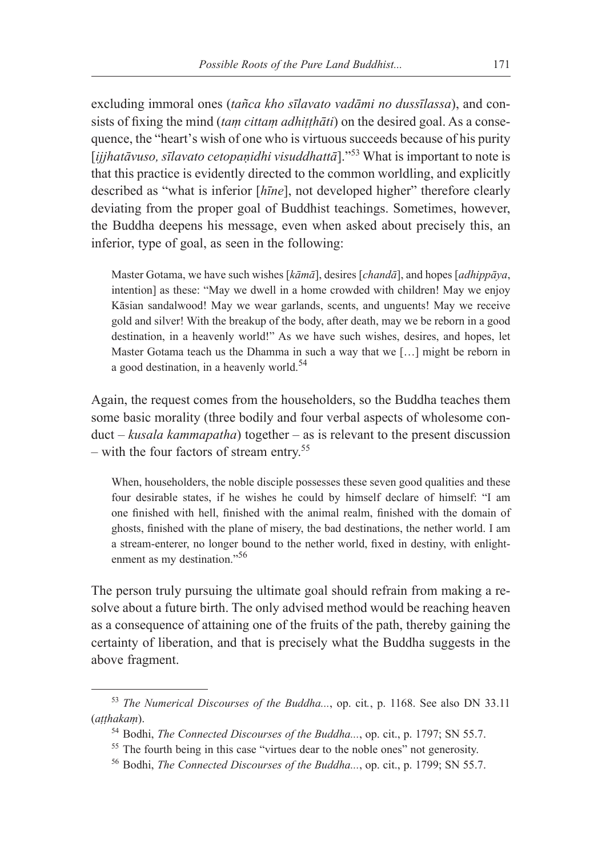excluding immoral ones (*tañca kho sīlavato vadāmi no dussīlassa*), and consists of fixing the mind (*taṃ cittaṃ adhiṭṭhāti*) on the desired goal. As a consequence, the "heart's wish of one who is virtuous succeeds because of his purity [*ijjhatāvuso, sīlavato cetopaṇidhi visuddhattā*]."53 What is important to note is that this practice is evidently directed to the common worldling, and explicitly described as "what is inferior [*hīne*], not developed higher" therefore clearly deviating from the proper goal of Buddhist teachings. Sometimes, however, the Buddha deepens his message, even when asked about precisely this, an inferior, type of goal, as seen in the following:

Master Gotama, we have such wishes [*kāmā*], desires [*chandā*], and hopes [*adhippāya*, intention] as these: "May we dwell in a home crowded with children! May we enjoy Kāsian sandalwood! May we wear garlands, scents, and unguents! May we receive gold and silver! With the breakup of the body, after death, may we be reborn in a good destination, in a heavenly world!" As we have such wishes, desires, and hopes, let Master Gotama teach us the Dhamma in such a way that we […] might be reborn in a good destination, in a heavenly world.<sup>54</sup>

Again, the request comes from the householders, so the Buddha teaches them some basic morality (three bodily and four verbal aspects of wholesome conduct – *kusala kammapatha*) together – as is relevant to the present discussion – with the four factors of stream entry.<sup>55</sup>

When, householders, the noble disciple possesses these seven good qualities and these four desirable states, if he wishes he could by himself declare of himself: "I am one finished with hell, finished with the animal realm, finished with the domain of ghosts, finished with the plane of misery, the bad destinations, the nether world. I am a stream-enterer, no longer bound to the nether world, fixed in destiny, with enlightenment as my destination."<sup>56</sup>

The person truly pursuing the ultimate goal should refrain from making a resolve about a future birth. The only advised method would be reaching heaven as a consequence of attaining one of the fruits of the path, thereby gaining the certainty of liberation, and that is precisely what the Buddha suggests in the above fragment.

<sup>53</sup> *The Numerical Discourses of the Buddha...*, op. cit*.*, p. 1168. See also DN 33.11 (*aṭṭhakaṃ*).

<sup>54</sup> Bodhi, *The Connected Discourses of the Buddha...*, op. cit., p. 1797; SN 55.7.

<sup>&</sup>lt;sup>55</sup> The fourth being in this case "virtues dear to the noble ones" not generosity.

<sup>56</sup> Bodhi, *The Connected Discourses of the Buddha...*, op. cit., p. 1799; SN 55.7.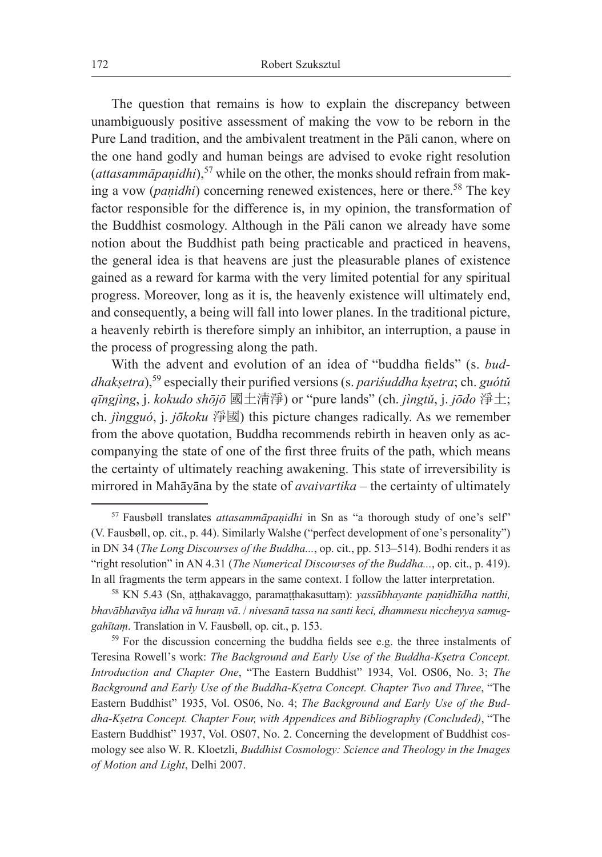The question that remains is how to explain the discrepancy between unambiguously positive assessment of making the vow to be reborn in the Pure Land tradition, and the ambivalent treatment in the Pāli canon, where on the one hand godly and human beings are advised to evoke right resolution (*attasammāpaṇidhi*),<sup>57</sup> while on the other, the monks should refrain from making a vow (*paṇidhi*) concerning renewed existences, here or there.<sup>58</sup> The key factor responsible for the difference is, in my opinion, the transformation of the Buddhist cosmology. Although in the Pāli canon we already have some notion about the Buddhist path being practicable and practiced in heavens, the general idea is that heavens are just the pleasurable planes of existence gained as a reward for karma with the very limited potential for any spiritual progress. Moreover, long as it is, the heavenly existence will ultimately end, and consequently, a being will fall into lower planes. In the traditional picture, a heavenly rebirth is therefore simply an inhibitor, an interruption, a pause in the process of progressing along the path.

With the advent and evolution of an idea of "buddha fields" (s. *buddhakṣetra*),<sup>59</sup> especially their purified versions (s. *pariśuddha kṣetra*; ch. *guótǔ qīngjìng*, j. *kokudo shōjō* 國土淸淨) or "pure lands" (ch. *jìngtǔ*, j. *jōdo* 淨土; ch. *jìngguó*, j. *jōkoku* 淨國) this picture changes radically. As we remember from the above quotation, Buddha recommends rebirth in heaven only as accompanying the state of one of the first three fruits of the path, which means the certainty of ultimately reaching awakening. This state of irreversibility is mirrored in Mahāyāna by the state of *avaivartika* – the certainty of ultimately

<sup>57</sup> Fausbøll translates *attasammāpaṇidhi* in Sn as "a thorough study of one's self" (V. Fausbøll, op. cit., p. 44). Similarly Walshe ("perfect development of one's personality") in DN 34 (*The Long Discourses of the Buddha...*, op. cit., pp. 513–514). Bodhi renders it as "right resolution" in AN 4.31 (*The Numerical Discourses of the Buddha...*, op. cit., p. 419). In all fragments the term appears in the same context. I follow the latter interpretation.

<sup>58</sup> KN 5.43 (Sn, aṭṭhakavaggo, paramaṭṭhakasuttaṃ): *yassūbhayante paṇidhīdha natthi, bhavābhavāya idha vā huraṃ vā*. / *nivesanā tassa na santi keci, dhammesu niccheyya samuggahītaṃ*. Translation in V. Fausbøll, op. cit., p. 153.

<sup>&</sup>lt;sup>59</sup> For the discussion concerning the buddha fields see e.g. the three instalments of Teresina Rowell's work: *The Background and Early Use of the Buddha-Kṣetra Concept. Introduction and Chapter One*, "The Eastern Buddhist" 1934, Vol. OS06, No. 3; *The Background and Early Use of the Buddha-Kṣetra Concept. Chapter Two and Three*, "The Eastern Buddhist" 1935, Vol. OS06, No. 4; *The Background and Early Use of the Buddha-Kṣetra Concept. Chapter Four, with Appendices and Bibliography (Concluded)*, "The Eastern Buddhist" 1937, Vol. OS07, No. 2. Concerning the development of Buddhist cosmology see also W. R. Kloetzli, *Buddhist Cosmology: Science and Theology in the Images of Motion and Light*, Delhi 2007.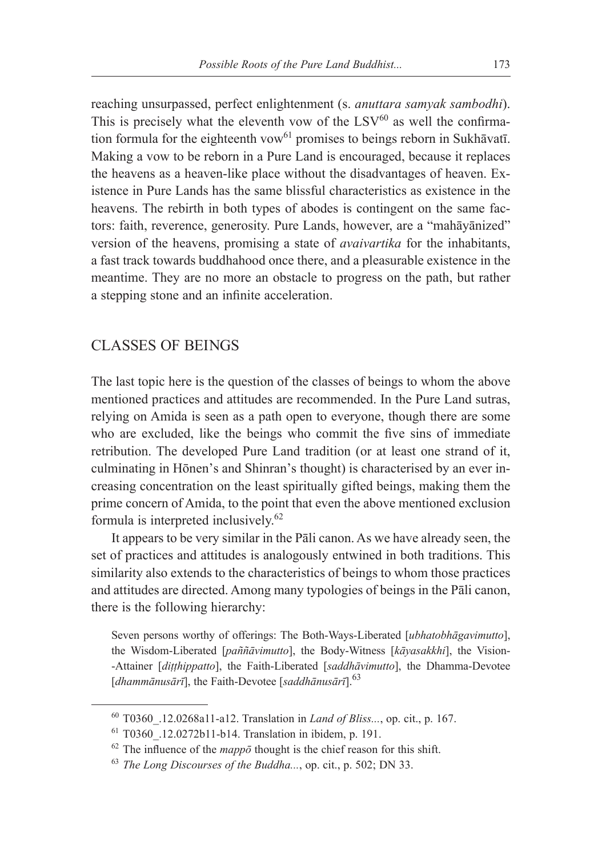reaching unsurpassed, perfect enlightenment (s. *anuttara samyak sambodhi*). This is precisely what the eleventh vow of the  $LSV<sup>60</sup>$  as well the confirmation formula for the eighteenth vow $^{61}$  promises to beings reborn in Sukhāvatī. Making a vow to be reborn in a Pure Land is encouraged, because it replaces the heavens as a heaven-like place without the disadvantages of heaven. Existence in Pure Lands has the same blissful characteristics as existence in the heavens. The rebirth in both types of abodes is contingent on the same factors: faith, reverence, generosity. Pure Lands, however, are a "mahāyānized" version of the heavens, promising a state of *avaivartika* for the inhabitants, a fast track towards buddhahood once there, and a pleasurable existence in the meantime. They are no more an obstacle to progress on the path, but rather a stepping stone and an infinite acceleration.

### CLASSES OF BEINGS

The last topic here is the question of the classes of beings to whom the above mentioned practices and attitudes are recommended. In the Pure Land sutras, relying on Amida is seen as a path open to everyone, though there are some who are excluded, like the beings who commit the five sins of immediate retribution. The developed Pure Land tradition (or at least one strand of it, culminating in Hōnen's and Shinran's thought) is characterised by an ever increasing concentration on the least spiritually gifted beings, making them the prime concern of Amida, to the point that even the above mentioned exclusion formula is interpreted inclusively.<sup>62</sup>

It appears to be very similar in the Pāli canon. As we have already seen, the set of practices and attitudes is analogously entwined in both traditions. This similarity also extends to the characteristics of beings to whom those practices and attitudes are directed. Among many typologies of beings in the Pāli canon, there is the following hierarchy:

Seven persons worthy of offerings: The Both-Ways-Liberated [*ubhatobhāgavimutto*], the Wisdom-Liberated [*paññāvimutto*], the Body-Witness [*kāyasakkhi*], the Vision- -Attainer [*diṭṭhippatto*], the Faith-Liberated [*saddhāvimutto*], the Dhamma-Devotee [*dhammānusārī*], the Faith-Devotee [saddhānusārī].<sup>63</sup>

<sup>60</sup> T0360\_.12.0268a11-a12. Translation in *Land of Bliss...*, op. cit., p. 167.

<sup>61</sup> T0360\_.12.0272b11-b14. Translation in ibidem, p. 191.

 $62$  The influence of the *mappo* thought is the chief reason for this shift.

<sup>63</sup> *The Long Discourses of the Buddha...*, op. cit., p. 502; DN 33.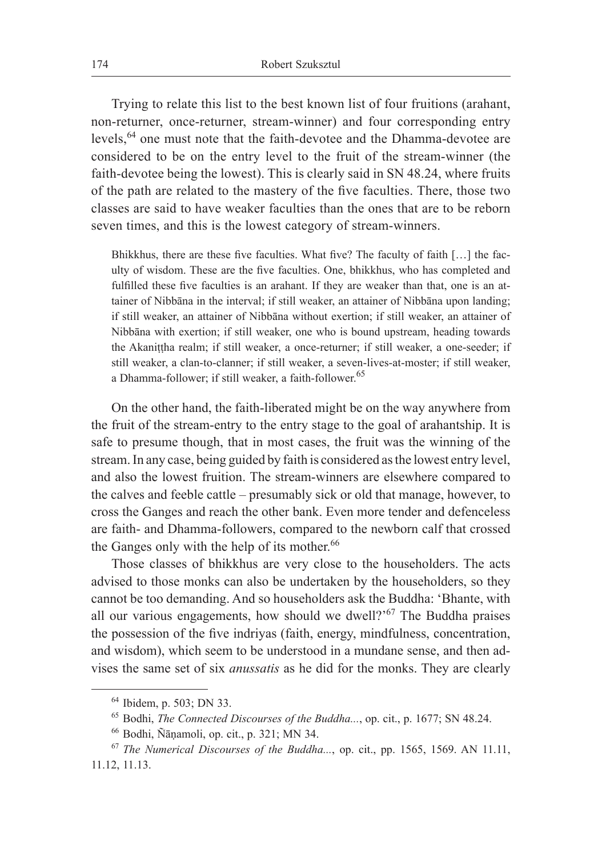Trying to relate this list to the best known list of four fruitions (arahant, non-returner, once-returner, stream-winner) and four corresponding entry levels,64 one must note that the faith-devotee and the Dhamma-devotee are considered to be on the entry level to the fruit of the stream-winner (the faith-devotee being the lowest). This is clearly said in SN 48.24, where fruits of the path are related to the mastery of the five faculties. There, those two classes are said to have weaker faculties than the ones that are to be reborn seven times, and this is the lowest category of stream-winners.

Bhikkhus, there are these five faculties. What five? The faculty of faith […] the faculty of wisdom. These are the five faculties. One, bhikkhus, who has completed and fulfilled these five faculties is an arahant. If they are weaker than that, one is an attainer of Nibbāna in the interval; if still weaker, an attainer of Nibbāna upon landing; if still weaker, an attainer of Nibbāna without exertion; if still weaker, an attainer of Nibbāna with exertion; if still weaker, one who is bound upstream, heading towards the Akaniṭṭha realm; if still weaker, a once-returner; if still weaker, a one-seeder; if still weaker, a clan-to-clanner; if still weaker, a seven-lives-at-moster; if still weaker, a Dhamma-follower; if still weaker, a faith-follower.<sup>65</sup>

On the other hand, the faith-liberated might be on the way anywhere from the fruit of the stream-entry to the entry stage to the goal of arahantship. It is safe to presume though, that in most cases, the fruit was the winning of the stream. In any case, being guided by faith is considered as the lowest entry level, and also the lowest fruition. The stream-winners are elsewhere compared to the calves and feeble cattle – presumably sick or old that manage, however, to cross the Ganges and reach the other bank. Even more tender and defenceless are faith- and Dhamma-followers, compared to the newborn calf that crossed the Ganges only with the help of its mother.<sup>66</sup>

Those classes of bhikkhus are very close to the householders. The acts advised to those monks can also be undertaken by the householders, so they cannot be too demanding. And so householders ask the Buddha: 'Bhante, with all our various engagements, how should we dwell?' <sup>67</sup> The Buddha praises the possession of the five indriyas (faith, energy, mindfulness, concentration, and wisdom), which seem to be understood in a mundane sense, and then advises the same set of six *anussatis* as he did for the monks. They are clearly

<sup>64</sup> Ibidem, p. 503; DN 33.

<sup>65</sup> Bodhi, *The Connected Discourses of the Buddha...*, op. cit., p. 1677; SN 48.24.

<sup>66</sup> Bodhi, Ñāṇamoli, op. cit., p. 321; MN 34.

<sup>67</sup> *The Numerical Discourses of the Buddha...*, op. cit., pp. 1565, 1569. AN 11.11, 11.12, 11.13.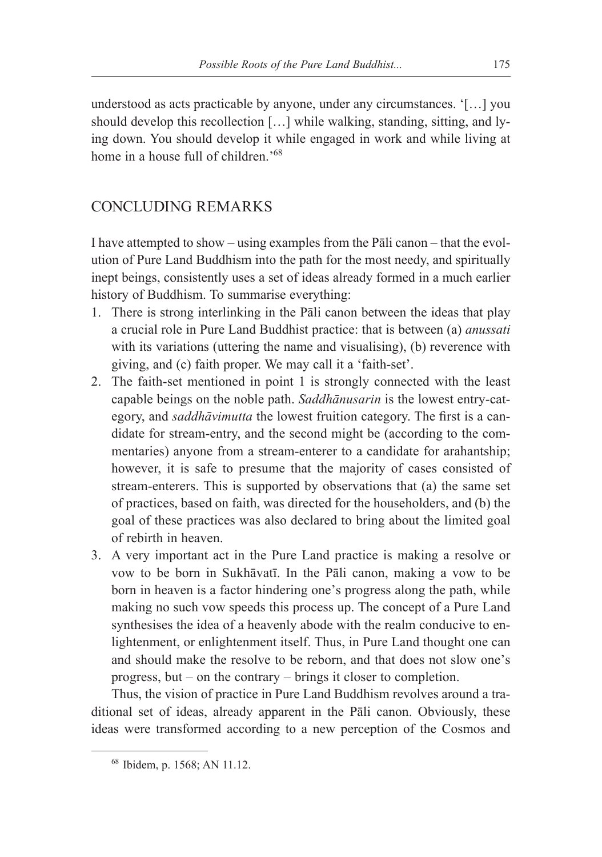understood as acts practicable by anyone, under any circumstances. '[…] you should develop this recollection […] while walking, standing, sitting, and lying down. You should develop it while engaged in work and while living at home in a house full of children.<sup>'68</sup>

# CONCLUDING REMARKS

I have attempted to show – using examples from the Pāli canon – that the evolution of Pure Land Buddhism into the path for the most needy, and spiritually inept beings, consistently uses a set of ideas already formed in a much earlier history of Buddhism. To summarise everything:

- 1. There is strong interlinking in the Pāli canon between the ideas that play a crucial role in Pure Land Buddhist practice: that is between (a) *anussati* with its variations (uttering the name and visualising), (b) reverence with giving, and (c) faith proper. We may call it a 'faith-set'.
- 2. The faith-set mentioned in point 1 is strongly connected with the least capable beings on the noble path. *Saddhānusarin* is the lowest entry-category, and *saddhāvimutta* the lowest fruition category. The first is a candidate for stream-entry, and the second might be (according to the commentaries) anyone from a stream-enterer to a candidate for arahantship; however, it is safe to presume that the majority of cases consisted of stream-enterers. This is supported by observations that (a) the same set of practices, based on faith, was directed for the householders, and (b) the goal of these practices was also declared to bring about the limited goal of rebirth in heaven.
- 3. A very important act in the Pure Land practice is making a resolve or vow to be born in Sukhāvatī. In the Pāli canon, making a vow to be born in heaven is a factor hindering one's progress along the path, while making no such vow speeds this process up. The concept of a Pure Land synthesises the idea of a heavenly abode with the realm conducive to enlightenment, or enlightenment itself. Thus, in Pure Land thought one can and should make the resolve to be reborn, and that does not slow one's progress, but – on the contrary – brings it closer to completion.

Thus, the vision of practice in Pure Land Buddhism revolves around a traditional set of ideas, already apparent in the Pāli canon. Obviously, these ideas were transformed according to a new perception of the Cosmos and

<sup>68</sup> Ibidem, p. 1568; AN 11.12.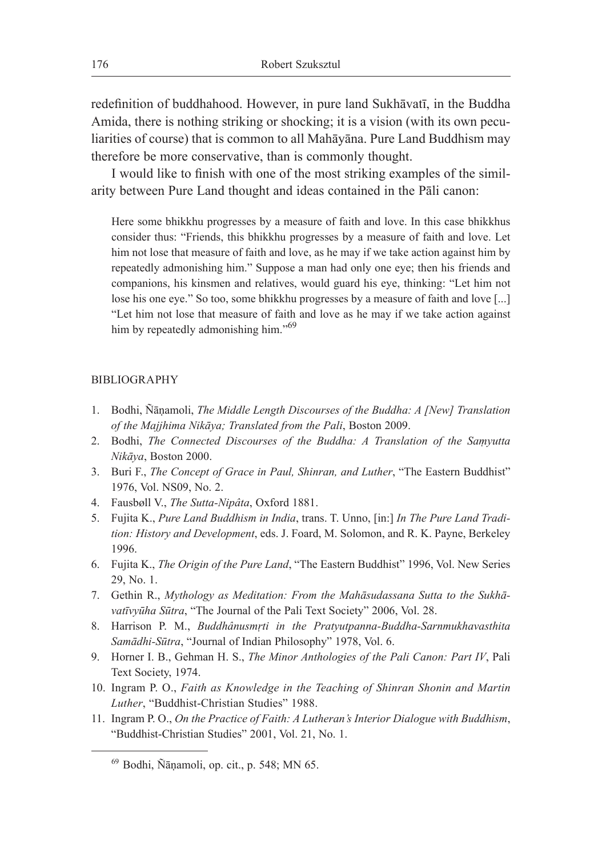redefinition of buddhahood. However, in pure land Sukhāvatī, in the Buddha Amida, there is nothing striking or shocking; it is a vision (with its own peculiarities of course) that is common to all Mahāyāna. Pure Land Buddhism may therefore be more conservative, than is commonly thought.

I would like to finish with one of the most striking examples of the similarity between Pure Land thought and ideas contained in the Pāli canon:

Here some bhikkhu progresses by a measure of faith and love. In this case bhikkhus consider thus: "Friends, this bhikkhu progresses by a measure of faith and love. Let him not lose that measure of faith and love, as he may if we take action against him by repeatedly admonishing him." Suppose a man had only one eye; then his friends and companions, his kinsmen and relatives, would guard his eye, thinking: "Let him not lose his one eye." So too, some bhikkhu progresses by a measure of faith and love [...] "Let him not lose that measure of faith and love as he may if we take action against him by repeatedly admonishing him."<sup>69</sup>

#### BIBLIOGRAPHY

- 1. Bodhi, Ñāṇamoli, *The Middle Length Discourses of the Buddha: A [New] Translation of the Majjhima Nikāya; Translated from the Pali*, Boston 2009.
- 2. Bodhi, *The Connected Discourses of the Buddha: A Translation of the Saṃyutta Nikāya*, Boston 2000.
- 3. Buri F., *The Concept of Grace in Paul, Shinran, and Luther*, "The Eastern Buddhist" 1976, Vol. NS09, No. 2.
- 4. Fausbøll V., *The Sutta-Nipâta*, Oxford 1881.
- 5. Fujita K., *Pure Land Buddhism in India*, trans. T. Unno, [in:] *In The Pure Land Tradition: History and Development*, eds. J. Foard, M. Solomon, and R. K. Payne, Berkeley 1996.
- 6. Fujita K., *The Origin of the Pure Land*, "The Eastern Buddhist" 1996, Vol. New Series 29, No. 1.
- 7. Gethin R., *Mythology as Meditation: From the Mahāsudassana Sutta to the Sukhāvatīvyūha Sūtra*, "The Journal of the Pali Text Society" 2006, Vol. 28.
- 8. Harrison P. M., *Buddhânusmṛti in the Pratyutpanna-Buddha-Sarnmukhavasthita Samādhi-Sūtra*, "Journal of Indian Philosophy" 1978, Vol. 6.
- 9. Horner I. B., Gehman H. S., *The Minor Anthologies of the Pali Canon: Part IV*, Pali Text Society, 1974.
- 10. Ingram P. O., *Faith as Knowledge in the Teaching of Shinran Shonin and Martin Luther*, "Buddhist-Christian Studies" 1988.
- 11. Ingram P. O., *On the Practice of Faith: A Lutheran's Interior Dialogue with Buddhism*, "Buddhist-Christian Studies" 2001, Vol. 21, No. 1.

<sup>69</sup> Bodhi, Ñāṇamoli, op. cit., p. 548; MN 65.